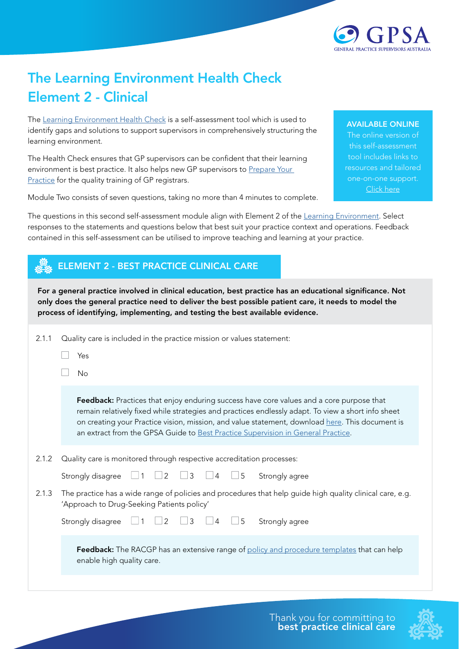

## The Learning Environment Health Check Element 2 - Clinical

The [Learning Environment Health Check](https://gpsupervisorsaustralia.org.au/learning-environment-health-check/) is a self-assessment tool which is used to identify gaps and solutions to support supervisors in comprehensively structuring the learning environment.

The Health Check ensures that GP supervisors can be confident that their learning environment is best practice. It also helps new GP supervisors to Prepare Your [Practice](https://gpsupervisorsaustralia.org.au/prepare-your-practice/) for the quality training of GP registrars.

Module Two consists of seven questions, taking no more than 4 minutes to complete.

## AVAILABLE ONLINE

The online version of this self-assessment tool includes links to resources and tailored one-on-one support. [Click here](https://gpsupervisorsaustralia.org.au/learning-environment-health-check/ )

The questions in this second self-assessment module align with Element 2 of the [Learning Environment.](https://gpsupervisorsaustralia.org.au/the-learning-environment/) Select responses to the statements and questions below that best suit your practice context and operations. Feedback contained in this self-assessment can be utilised to improve teaching and learning at your practice.

## ELEMENT 2 - BEST PRACTICE CLINICAL CARE

For a general practice involved in clinical education, best practice has an educational significance. Not only does the general practice need to deliver the best possible patient care, it needs to model the process of identifying, implementing, and testing the best available evidence.

| 2.1.1 | Quality care is included in the practice mission or values statement:                                                                                                                                                                                                                                                                                                                 |
|-------|---------------------------------------------------------------------------------------------------------------------------------------------------------------------------------------------------------------------------------------------------------------------------------------------------------------------------------------------------------------------------------------|
|       | Yes                                                                                                                                                                                                                                                                                                                                                                                   |
|       | No                                                                                                                                                                                                                                                                                                                                                                                    |
|       | Feedback: Practices that enjoy enduring success have core values and a core purpose that<br>remain relatively fixed while strategies and practices endlessly adapt. To view a short info sheet<br>on creating your Practice vision, mission, and value statement, download here. This document is<br>an extract from the GPSA Guide to Best Practice Supervision in General Practice. |
| 2.1.2 | Quality care is monitored through respective accreditation processes:                                                                                                                                                                                                                                                                                                                 |
|       | 5<br>3<br>Strongly disagree<br>2<br>Strongly agree<br>4                                                                                                                                                                                                                                                                                                                               |
| 2.1.3 | The practice has a wide range of policies and procedures that help guide high quality clinical care, e.g.<br>'Approach to Drug-Seeking Patients policy'                                                                                                                                                                                                                               |
|       | $\overline{2}$<br>3<br>5<br>Strongly disagree<br>Strongly agree                                                                                                                                                                                                                                                                                                                       |
|       | <b>Feedback:</b> The RACGP has an extensive range of policy and procedure templates that can help<br>enable high quality care.                                                                                                                                                                                                                                                        |
|       |                                                                                                                                                                                                                                                                                                                                                                                       |